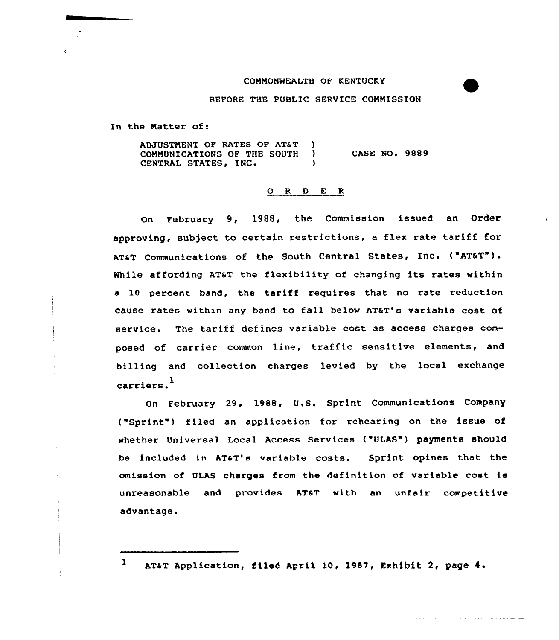## CONNONWEALTH OP KENTUCKY



والمستقل والمتعادل والمتحدث والمتحدث والمتحدث والمتحدث

## BEFORE THE PUBLIC SERVICE CONNISSION

In the Natter of:

ADJUSTMENT OF RATES OF AT&T ) COMMUNICATIONS OF THE SOUTH CENTRAL STATES, INC. CASE NO. 9889

## ORDER

On February 9, 1988, the Commission issued an Order approving, sub)ect to certain restrictions, <sup>a</sup> flex rate tariff for AT&T Communications of the South Central States, Inc. {"AT&T"). While affording AT&T the flexibility of changing its rates within a 10 percent band, the tariff requires that no rate reduction cause rates within any band to fall below AT&T's variable cost of service. The tariff defines variable cost as access charges composed of carrier common line, traffic sensitive elements, and billing and collection charges levied by the local exchange 1 carrie

February 29, 1988, U.S. Sprint Communications Company {"Sprint") filed an application for rehearing on the issue of whether Universal Local Access Services {"ULAS") payments should be included in AT&T's variable costs. Sprint opines that the omission of ULAS charges from the definition of variable cost is unreasonable and provides AT&T with an unfair competitive advantage.

<sup>1</sup> AT&T Application, filed April 10, 1987, Exhibit 2, page 4.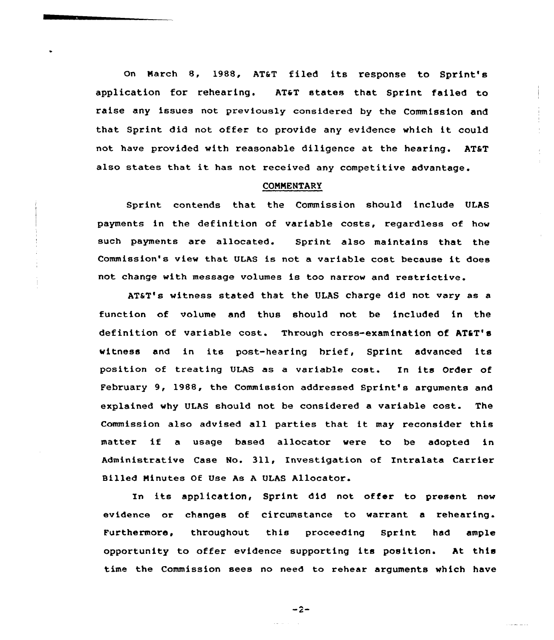On March 8, 1988, AT&T filed its response to Sprint's application for rehearing. AT&T states that Sprint failed to raise any issues not previously considered by the Commission and that Sprint did not offer to provide any evidence which it could not have provided with reasonable diligence at the hearing. AT&T also states that it has not received any competitive advantage.

## **COMMENTARY**

Sprint contends that the Commission should include ULAS payments in the definition of variable costs, regardless of how such payments are allocated. Sprint also maintains that the Commission's view that ULAS is not <sup>a</sup> variable cost because it does not change with message volumes is too narrow and restrictive.

AT&T's witness stated that the ULAS charge did not vary as a function of volume and thus should not be included in the definition of variable cost. Through cross-examination of AT&T's witness and in its post-hearing brief, Sprint advanced its position of treating ULAS as a variable cost. In its Order of February 9, 1988, the Commission addressed Sprint's arguments and explained why ULAS should not be considered a variable cost. The Commission also advised all parties that it may reconsider this matter if <sup>a</sup> usage based allocator were to be adopted in Administrative Case No. 311, Investigation of Intralata Carrier Billed Minutes Of Use As <sup>A</sup> VLAS Allocator.

In its application, Sprint did not offer to present new evidence or changes of circumstance to warrant a rehearing. Furthermore, throughout this proceeding Sprint had ample opportunity to offer evidence supporting its position. At this time the Commission sees no need to rehear arguments which have

 $-2-$